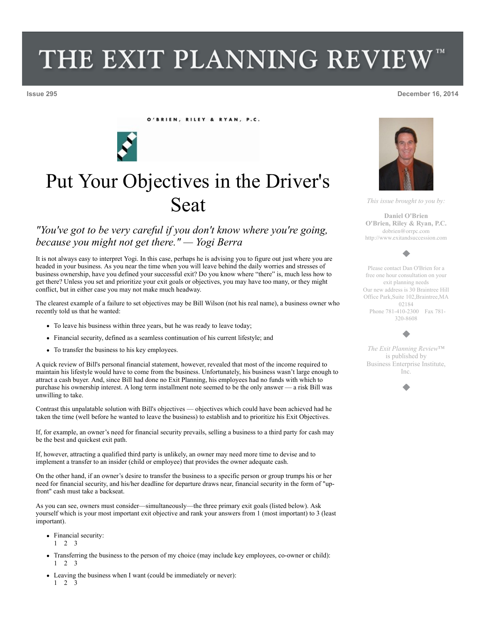## THE EXIT PLANNING REVIEW

O'BRIEN, RILEY & RYAN, P.C.



## Put Your Objectives in the Driver's Seat

## *"You've got to be very careful if you don't know where you're going, because you might not get there." — Yogi Berra*

It is not always easy to interpret Yogi. In this case, perhaps he is advising you to figure out just where you are headed in your business. As you near the time when you will leave behind the daily worries and stresses of business ownership, have you defined your successful exit? Do you know where "there" is, much less how to get there? Unless you set and prioritize your exit goals or objectives, you may have too many, or they might conflict, but in either case you may not make much headway.

The clearest example of a failure to set objectives may be Bill Wilson (not his real name), a business owner who recently told us that he wanted:

- To leave his business within three years, but he was ready to leave today;
- Financial security, defined as a seamless continuation of his current lifestyle; and
- To transfer the business to his key employees.

A quick review of Bill's personal financial statement, however, revealed that most of the income required to maintain his lifestyle would have to come from the business. Unfortunately, his business wasn't large enough to attract a cash buyer. And, since Bill had done no Exit Planning, his employees had no funds with which to purchase his ownership interest. A long term installment note seemed to be the only answer — a risk Bill was unwilling to take.

Contrast this unpalatable solution with Bill's objectives — objectives which could have been achieved had he taken the time (well before he wanted to leave the business) to establish and to prioritize his Exit Objectives.

If, for example, an owner's need for financial security prevails, selling a business to a third party for cash may be the best and quickest exit path.

If, however, attracting a qualified third party is unlikely, an owner may need more time to devise and to implement a transfer to an insider (child or employee) that provides the owner adequate cash.

On the other hand, if an owner's desire to transfer the business to a specific person or group trumps his or her need for financial security, and his/her deadline for departure draws near, financial security in the form of "upfront" cash must take a backseat.

As you can see, owners must consider—simultaneously—the three primary exit goals (listed below). Ask yourself which is your most important exit objective and rank your answers from 1 (most important) to 3 (least important).

- Financial security: 1 2 3
- Transferring the business to the person of my choice (may include key employees, co-owner or child): 1 2 3
- Leaving the business when I want (could be immediately or never): 1 2 3



*This issue brought to you by:*

**Daniel O'Brien O'Brien, Riley & Ryan, P.C.** dobrien@orrpc.com http://www.exitandsuccession.com



Please contact Dan O'Brien for a free one hour consultation on your exit planning needs Our new address is 30 Braintree Hill Office Park,Suite 102,Braintree,MA 02184 Phone 781-410-2300 Fax 781- 320-8608

## ٠

*The Exit Planning Review*™ is published by Business Enterprise Institute, Inc.